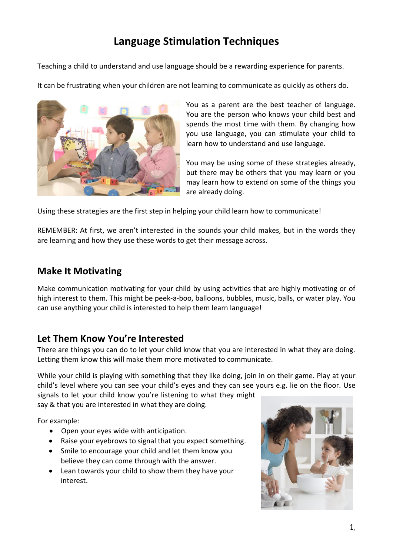# **Language Stimulation Techniques**

Teaching a child to understand and use language should be a rewarding experience for parents.

It can be frustrating when your children are not learning to communicate as quickly as others do.



You as a parent are the best teacher of language. You are the person who knows your child best and spends the most time with them. By changing how you use language, you can stimulate your child to learn how to understand and use language.

You may be using some of these strategies already, but there may be others that you may learn or you may learn how to extend on some of the things you are already doing.

Using these strategies are the first step in helping your child learn how to communicate!

REMEMBER: At first, we aren't interested in the sounds your child makes, but in the words they are learning and how they use these words to get their message across.

## **Make It Motivating**

Make communication motivating for your child by using activities that are highly motivating or of high interest to them. This might be peek-a-boo, balloons, bubbles, music, balls, or water play. You can use anything your child is interested to help them learn language!

### **Let Them Know You're Interested**

There are things you can do to let your child know that you are interested in what they are doing. Letting them know this will make them more motivated to communicate.

While your child is playing with something that they like doing, join in on their game. Play at your child's level where you can see your child's eyes and they can see yours e.g. lie on the floor. Use

signals to let your child know you're listening to what they might say & that you are interested in what they are doing.

For example:

- Open your eyes wide with anticipation.
- Raise your eyebrows to signal that you expect something.
- Smile to encourage your child and let them know you believe they can come through with the answer.
- Lean towards your child to show them they have your interest.

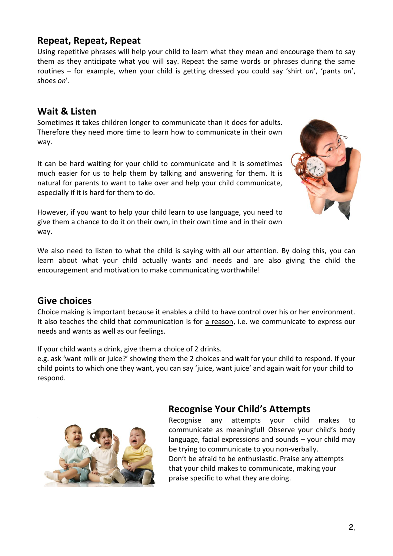#### 2.

# **Repeat, Repeat, Repeat**

#### Using repetitive phrases will help your child to learn what they mean and encourage them to say them as they anticipate what you will say. Repeat the same words or phrases during the same routines – for example, when your child is getting dressed you could say 'shirt *on*', 'pants *on*', shoes *on*'.

## **Wait & Listen**

Sometimes it takes children longer to communicate than it does for adults. Therefore they need more time to learn how to communicate in their own way.

It can be hard waiting for your child to communicate and it is sometimes much easier for us to help them by talking and answering for them. It is natural for parents to want to take over and help your child communicate, especially if it is hard for them to do.

However, if you want to help your child learn to use language, you need to give them a chance to do it on their own, in their own time and in their own way.

We also need to listen to what the child is saying with all our attention. By doing this, you can learn about what your child actually wants and needs and are also giving the child the encouragement and motivation to make communicating worthwhile!

#### **Give choices**

Choice making is important because it enables a child to have control over his or her environment. It also teaches the child that communication is for a reason, i.e. we communicate to express our needs and wants as well as our feelings.

If your child wants a drink, give them a choice of 2 drinks.

e.g. ask 'want milk or juice?' showing them the 2 choices and wait for your child to respond. If your child points to which one they want, you can say 'juice, want juice' and again wait for your child to respond.



Recognise any attempts your child makes to communicate as meaningful! Observe your child's body language, facial expressions and sounds – your child may be trying to communicate to you non-verbally. Don't be afraid to be enthusiastic. Praise any attempts that your child makes to communicate, making your praise specific to what they are doing.



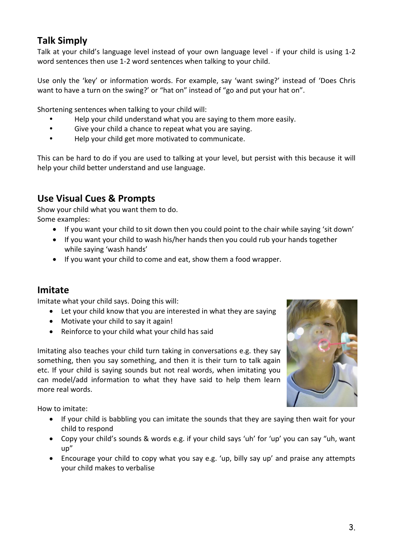# **Talk Simply**

Talk at your child's language level instead of your own language level - if your child is using 1-2 word sentences then use 1-2 word sentences when talking to your child.

Use only the 'key' or information words. For example, say 'want swing?' instead of 'Does Chris want to have a turn on the swing?' or "hat on" instead of "go and put your hat on".

Shortening sentences when talking to your child will:

- Help your child understand what you are saying to them more easily.
- Give your child a chance to repeat what you are saying.
- Help your child get more motivated to communicate.

This can be hard to do if you are used to talking at your level, but persist with this because it will help your child better understand and use language.

# **Use Visual Cues & Prompts**

Show your child what you want them to do. Some examples:

- If you want your child to sit down then you could point to the chair while saying 'sit down'
- If you want your child to wash his/her hands then you could rub your hands together while saying 'wash hands'
- If you want your child to come and eat, show them a food wrapper.

### **Imitate**

Imitate what your child says. Doing this will:

- Let your child know that you are interested in what they are saying
- Motivate your child to say it again!
- Reinforce to your child what your child has said

Imitating also teaches your child turn taking in conversations e.g. they say something, then you say something, and then it is their turn to talk again etc. If your child is saying sounds but not real words, when imitating you can model/add information to what they have said to help them learn more real words.



How to imitate:

- If your child is babbling you can imitate the sounds that they are saying then wait for your child to respond
- Copy your child's sounds & words e.g. if your child says 'uh' for 'up' you can say "uh, want up"
- Encourage your child to copy what you say e.g. 'up, billy say up' and praise any attempts your child makes to verbalise